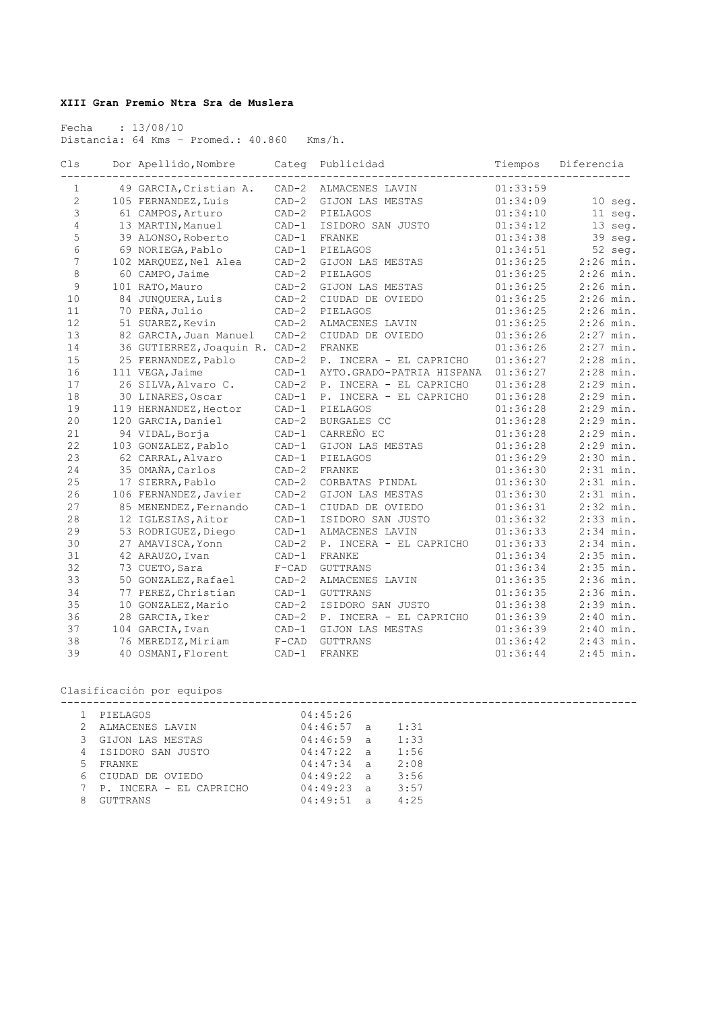## **XIII Gran Premio Ntra Sra de Muslera**

 Fecha : 13/08/10 Distancia: 64 Kms – Promed.: 40.860 Kms/h.

| Cls            | Dor Apellido, Nombre           | Categ   | Publicidad                | Tiempos  | Diferencia  |
|----------------|--------------------------------|---------|---------------------------|----------|-------------|
| 1              | 49 GARCIA, Cristian A.         | $CAD-2$ | ALMACENES LAVIN           | 01:33:59 |             |
| $\mathbf{2}$   | 105 FERNANDEZ, Luis            | $CAD-2$ | GIJON LAS MESTAS          | 01:34:09 | $10$ seg.   |
| 3              | 61 CAMPOS, Arturo              | $CAD-2$ | PIELAGOS                  | 01:34:10 | 11 seg.     |
| $\overline{4}$ | 13 MARTIN, Manuel              | $CAD-1$ | ISIDORO SAN JUSTO         | 01:34:12 | 13 seg.     |
| 5              | 39 ALONSO, Roberto             | $CAD-1$ | FRANKE                    | 01:34:38 | 39 seg.     |
| 6              | 69 NORIEGA, Pablo              | $CAD-1$ | PIELAGOS                  | 01:34:51 | $52$ seq.   |
| $\overline{7}$ | 102 MAROUEZ, Nel Alea          | $CAD-2$ | GIJON LAS MESTAS          | 01:36:25 | $2:26$ min. |
| 8              | 60 CAMPO, Jaime                | $CAD-2$ | PIELAGOS                  | 01:36:25 | $2:26$ min. |
| 9              | 101 RATO, Mauro                | $CAD-2$ | GIJON LAS MESTAS          | 01:36:25 | $2:26$ min. |
| 10             | 84 JUNOUERA, Luis              | $CAD-2$ | CIUDAD DE OVIEDO          | 01:36:25 | $2:26$ min. |
| 11             | 70 PEÑA, Julio                 | $CAD-2$ | PIELAGOS                  | 01:36:25 | $2:26$ min. |
| 12             | 51 SUAREZ, Kevin               | $CAD-2$ | ALMACENES LAVIN           | 01:36:25 | $2:26$ min. |
| 13             | 82 GARCIA, Juan Manuel         | $CAD-2$ | CIUDAD DE OVIEDO          | 01:36:26 | $2:27$ min. |
| 14             | 36 GUTIERREZ, Joaquin R. CAD-2 |         | FRANKE                    | 01:36:26 | $2:27$ min. |
| 15             | 25 FERNANDEZ, Pablo            | $CAD-2$ | P. INCERA - EL CAPRICHO   | 01:36:27 | $2:28$ min. |
| 16             | 111 VEGA, Jaime                | $CAD-1$ | AYTO.GRADO-PATRIA HISPANA | 01:36:27 | $2:28$ min. |
| 17             | 26 SILVA, Alvaro C.            | $CAD-2$ | P. INCERA - EL CAPRICHO   | 01:36:28 | $2:29$ min. |
| 18             | 30 LINARES, Oscar              | $CAD-1$ | P. INCERA - EL CAPRICHO   | 01:36:28 | $2:29$ min. |
| 19             | 119 HERNANDEZ, Hector          | $CAD-1$ | PIELAGOS                  | 01:36:28 | $2:29$ min. |
| 20             | 120 GARCIA, Daniel             | $CAD-2$ | BURGALES CC               | 01:36:28 | $2:29$ min. |
| 21             | 94 VIDAL, Borja                | $CAD-1$ | CARREÑO EC                | 01:36:28 | $2:29$ min. |
| 22             | 103 GONZALEZ, Pablo            | $CAD-1$ | GIJON LAS MESTAS          | 01:36:28 | $2:29$ min. |
| 23             | 62 CARRAL, Alvaro              | $CAD-1$ | PIELAGOS                  | 01:36:29 | $2:30$ min. |
| 24             | 35 OMAÑA, Carlos               | $CAD-2$ | FRANKE                    | 01:36:30 | $2:31$ min. |
| 25             | 17 SIERRA, Pablo               | $CAD-2$ | CORBATAS PINDAL           | 01:36:30 | $2:31$ min. |
| 26             | 106 FERNANDEZ, Javier          | $CAD-2$ | GIJON LAS MESTAS          | 01:36:30 | $2:31$ min. |
| 27             | 85 MENENDEZ, Fernando          | $CAD-1$ | CIUDAD DE OVIEDO          | 01:36:31 | $2:32$ min. |
| 28             | 12 IGLESIAS, Aitor             | $CAD-1$ | ISIDORO SAN JUSTO         | 01:36:32 | $2:33$ min. |
| 29             | 53 RODRIGUEZ, Diego            | $CAD-1$ | ALMACENES LAVIN           | 01:36:33 | $2:34$ min. |
| 30             | 27 AMAVISCA, Yonn              | $CAD-2$ | P. INCERA - EL CAPRICHO   | 01:36:33 | $2:34$ min. |
| 31             | 42 ARAUZO, Ivan                | $CAD-1$ | FRANKE                    | 01:36:34 | $2:35$ min. |
| 32             | 73 CUETO, Sara                 | $F-CAD$ | <b>GUTTRANS</b>           | 01:36:34 | $2:35$ min. |
| 33             | 50 GONZALEZ, Rafael            | $CAD-2$ | ALMACENES LAVIN           | 01:36:35 | $2:36$ min. |
| 34             | 77 PEREZ, Christian            | $CAD-1$ | <b>GUTTRANS</b>           | 01:36:35 | $2:36$ min. |
| 35             | 10 GONZALEZ, Mario             | $CAD-2$ | ISIDORO SAN JUSTO         | 01:36:38 | $2:39$ min. |
| 36             | 28 GARCIA, Iker                | $CAD-2$ | P. INCERA - EL CAPRICHO   | 01:36:39 | $2:40$ min. |
| 37             | 104 GARCIA, Ivan               | $CAD-1$ | GIJON LAS MESTAS          | 01:36:39 | $2:40$ min. |
| 38             | 76 MEREDIZ, Miriam             | $F-CAD$ | <b>GUTTRANS</b>           | 01:36:42 | $2:43$ min. |
| 39             | 40 OSMANI, Florent             | $CAD-1$ | <b>FRANKE</b>             | 01:36:44 | $2:45$ min. |

Clasificación por equipos

|    | .                       |              |      |  |  |
|----|-------------------------|--------------|------|--|--|
|    | PIELAGOS                | 04:45:26     |      |  |  |
|    | ALMACENES LAVIN         | $04:46:57$ a | 1:31 |  |  |
|    | GIJON LAS MESTAS        | $04:46:59$ a | 1:33 |  |  |
| 4  | ISIDORO SAN JUSTO       | 04:47:22 a   | 1:56 |  |  |
| 5. | FRANKE                  | 04:47:34 a   | 2:08 |  |  |
| 6. | CIUDAD DE OVIEDO        | 04:49:22 a   | 3:56 |  |  |
|    | P. INCERA - EL CAPRICHO | 04:49:23 a   | 3:57 |  |  |
|    | GUTTRANS                | $04:49:51$ a | 4:25 |  |  |
|    |                         |              |      |  |  |